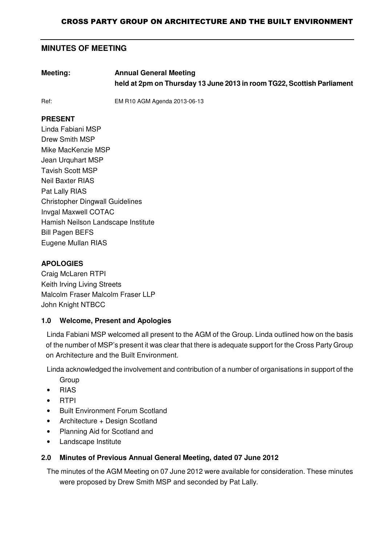# **MINUTES OF MEETING**

**Meeting: Annual General Meeting held at 2pm on Thursday 13 June 2013 in room TG22, Scottish Parliament**

Ref: EM R10 AGM Agenda 2013-06-13

### **PRESENT**

Linda Fabiani MSP Drew Smith MSP Mike MacKenzie MSP Jean Urquhart MSP Tavish Scott MSP Neil Baxter RIAS Pat Lally RIAS Christopher Dingwall Guidelines Invgal Maxwell COTAC Hamish Neilson Landscape Institute Bill Pagen BEFS Eugene Mullan RIAS

### **APOLOGIES**

Craig McLaren RTPI Keith Irving Living Streets Malcolm Fraser Malcolm Fraser LLP John Knight NTBCC

### **1.0 Welcome, Present and Apologies**

Linda Fabiani MSP welcomed all present to the AGM of the Group. Linda outlined how on the basis of the number of MSP's present it was clear that there is adequate support for the Cross Party Group on Architecture and the Built Environment.

Linda acknowledged the involvement and contribution of a number of organisations in support of the

- **Group**
- RIAS
- RTPI
- Built Environment Forum Scotland
- Architecture + Design Scotland
- Planning Aid for Scotland and
- Landscape Institute

#### **2.0 Minutes of Previous Annual General Meeting, dated 07 June 2012**

The minutes of the AGM Meeting on 07 June 2012 were available for consideration. These minutes were proposed by Drew Smith MSP and seconded by Pat Lally.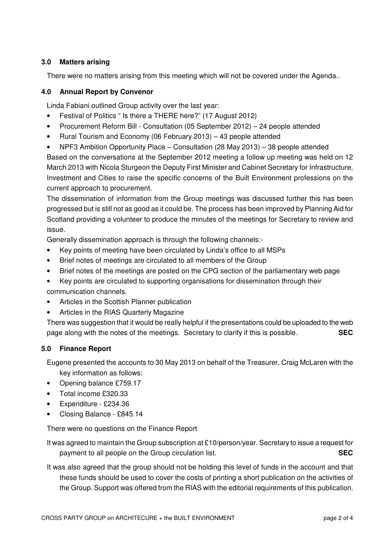### **3.0 Matters arising**

There were no matters arising from this meeting which will not be covered under the Agenda..

#### **4.0 Annual Report by Convenor**

Linda Fabiani outlined Group activity over the last year:

- Festival of Politics " Is there a THERE here?" (17 August 2012)
- Procurement Reform Bill Consultation (05 September 2012) 24 people attended
- Rural Tourism and Economy (06 February 2013) 43 people attended
- NPF3 Ambition Opportunity Place Consultation (28 May 2013) 38 people attended

Based on the conversations at the September 2012 meeting a follow up meeting was held on 12 March 2013 with Nicola Sturgeon the Deputy First Minister and Cabinet Secretary for Infrastructure, Investment and Cities to raise the specific concerns of the Built Environment professions on the current approach to procurement.

The dissemination of information from the Group meetings was discussed further this has been progressed but is still not as good as it could be. The process has been improved by Planning Aid for Scotland providing a volunteer to produce the minutes of the meetings for Secretary to review and issue.

Generally dissemination approach is through the following channels:-

- Key points of meeting have been circulated by Linda's office to all MSPs
- Brief notes of meetings are circulated to all members of the Group
- Brief notes of the meetings are posted on the CPG section of the parliamentary web page
- Key points are circulated to supporting organisations for dissemination through their communication channels.
- Articles in the Scottish Planner publication
- Articles in the RIAS Quarterly Magazine

There was suggestion that it would be really helpful if the presentations could be uploaded to the web page along with the notes of the meetings. Secretary to clarify if this is possible. **SEC**

### **5.0 Finance Report**

Eugene presented the accounts to 30 May 2013 on behalf of the Treasurer, Craig McLaren with the key information as follows:

- Opening balance £759.17
- Total income £320.33
- Expenditure £234.36
- Closing Balance £845.14

There were no questions on the Finance Report

It was agreed to maintain the Group subscription at £10/person/year. Secretary to issue a request for payment to all people on the Group circulation list. **SEC**

It was also agreed that the group should not be holding this level of funds in the account and that these funds should be used to cover the costs of printing a short publication on the activities of the Group. Support was offered from the RIAS with the editorial requirements of this publication.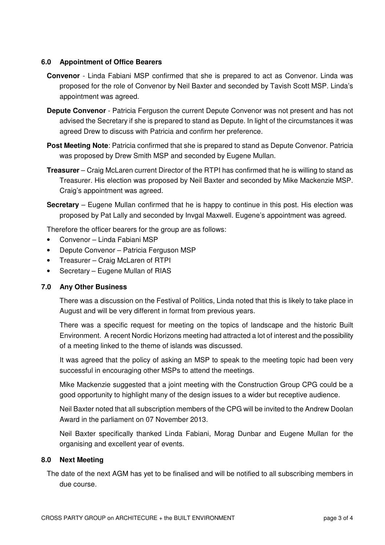#### **6.0 Appointment of Office Bearers**

- **Convenor** Linda Fabiani MSP confirmed that she is prepared to act as Convenor. Linda was proposed for the role of Convenor by Neil Baxter and seconded by Tavish Scott MSP. Linda's appointment was agreed.
- **Depute Convenor** Patricia Ferguson the current Depute Convenor was not present and has not advised the Secretary if she is prepared to stand as Depute. In light of the circumstances it was agreed Drew to discuss with Patricia and confirm her preference.
- **Post Meeting Note**: Patricia confirmed that she is prepared to stand as Depute Convenor. Patricia was proposed by Drew Smith MSP and seconded by Eugene Mullan.
- **Treasurer** Craig McLaren current Director of the RTPI has confirmed that he is willing to stand as Treasurer. His election was proposed by Neil Baxter and seconded by Mike Mackenzie MSP. Craig's appointment was agreed.
- **Secretary** Eugene Mullan confirmed that he is happy to continue in this post. His election was proposed by Pat Lally and seconded by Invgal Maxwell. Eugene's appointment was agreed.

Therefore the officer bearers for the group are as follows:

- Convenor Linda Fabiani MSP
- Depute Convenor Patricia Ferguson MSP
- Treasurer Craig McLaren of RTPI
- Secretary Eugene Mullan of RIAS

#### **7.0 Any Other Business**

There was a discussion on the Festival of Politics, Linda noted that this is likely to take place in August and will be very different in format from previous years.

There was a specific request for meeting on the topics of landscape and the historic Built Environment. A recent Nordic Horizons meeting had attracted a lot of interest and the possibility of a meeting linked to the theme of islands was discussed.

It was agreed that the policy of asking an MSP to speak to the meeting topic had been very successful in encouraging other MSPs to attend the meetings.

Mike Mackenzie suggested that a joint meeting with the Construction Group CPG could be a good opportunity to highlight many of the design issues to a wider but receptive audience.

Neil Baxter noted that all subscription members of the CPG will be invited to the Andrew Doolan Award in the parliament on 07 November 2013.

Neil Baxter specifically thanked Linda Fabiani, Morag Dunbar and Eugene Mullan for the organising and excellent year of events.

#### **8.0 Next Meeting**

The date of the next AGM has yet to be finalised and will be notified to all subscribing members in due course.